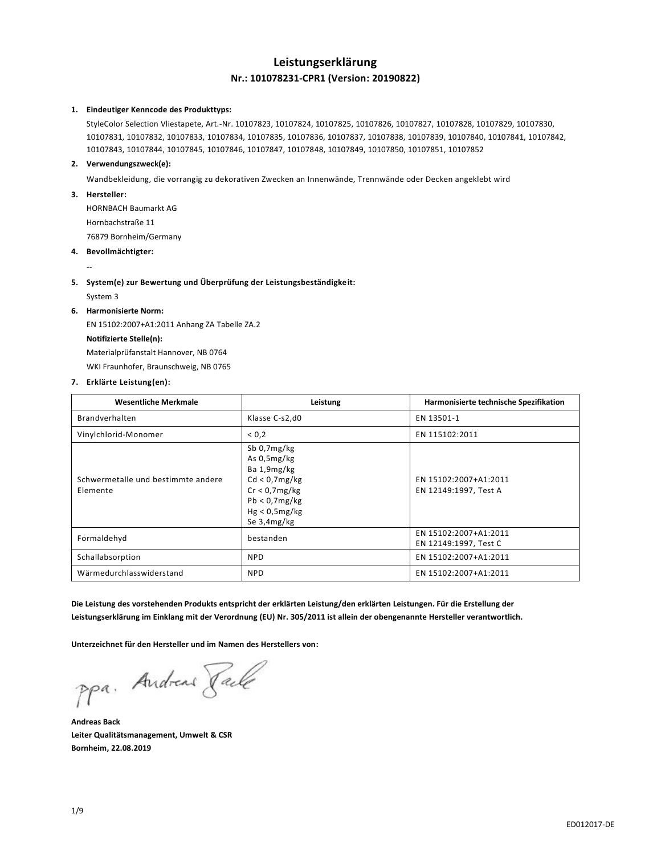# **Leistungserklärung Nr.: 101078231-CPR1 (Version: 20190822)**

### **1. Eindeutiger Kenncode des Produkttyps:**

StyleColor Selection Vliestapete, Art.-Nr. 10107823, 10107824, 10107825, 10107826, 10107827, 10107828, 10107829, 10107830, 10107831, 10107832, 10107833, 10107834, 10107835, 10107836, 10107837, 10107838, 10107839, 10107840, 10107841, 10107842, 10107843, 10107844, 10107845, 10107846, 10107847, 10107848, 10107849, 10107850, 10107851, 10107852

# **2. Verwendungszweck(e):**

Wandbekleidung, die vorrangig zu dekorativen Zwecken an Innenwände, Trennwände oder Decken angeklebt wird

# **3. Hersteller:**

HORNBACH Baumarkt AG Hornbachstraße 11 76879 Bornheim/Germany

**4. Bevollmächtigter:**

--

**5. System(e) zur Bewertung und Überprüfung der Leistungsbeständigkeit:**

System 3

## **6. Harmonisierte Norm:**

EN 15102:2007+A1:2011 Anhang ZA Tabelle ZA.2 **Notifizierte Stelle(n):** Materialprüfanstalt Hannover, NB 0764

WKI Fraunhofer, Braunschweig, NB 0765

### **7. Erklärte Leistung(en):**

| <b>Wesentliche Merkmale</b>                    | Leistung                                                                                                                           | Harmonisierte technische Spezifikation         |
|------------------------------------------------|------------------------------------------------------------------------------------------------------------------------------------|------------------------------------------------|
| Brandverhalten                                 | Klasse C-s2,d0                                                                                                                     | EN 13501-1                                     |
| Vinylchlorid-Monomer                           | < 0.2                                                                                                                              | EN 115102:2011                                 |
| Schwermetalle und bestimmte andere<br>Elemente | Sb 0,7mg/kg<br>As $0.5$ mg/kg<br>Ba 1,9mg/kg<br>Cd < 0.7mg/kg<br>$Cr < 0.7$ mg/kg<br>Pb < 0.7mg/kg<br>Hg < 0.5mg/kg<br>Se 3,4mg/kg | EN 15102:2007+A1:2011<br>EN 12149:1997, Test A |
| Formaldehyd                                    | bestanden                                                                                                                          | EN 15102:2007+A1:2011<br>EN 12149:1997, Test C |
| Schallabsorption                               | <b>NPD</b>                                                                                                                         | EN 15102:2007+A1:2011                          |
| Wärmedurchlasswiderstand                       | <b>NPD</b>                                                                                                                         | EN 15102:2007+A1:2011                          |

**Die Leistung des vorstehenden Produkts entspricht der erklärten Leistung/den erklärten Leistungen. Für die Erstellung der Leistungserklärung im Einklang mit der Verordnung (EU) Nr. 305/2011 ist allein der obengenannte Hersteller verantwortlich.**

**Unterzeichnet für den Hersteller und im Namen des Herstellers von:**

ppa. Andreas Rack

**Andreas Back Leiter Qualitätsmanagement, Umwelt & CSR Bornheim, 22.08.2019**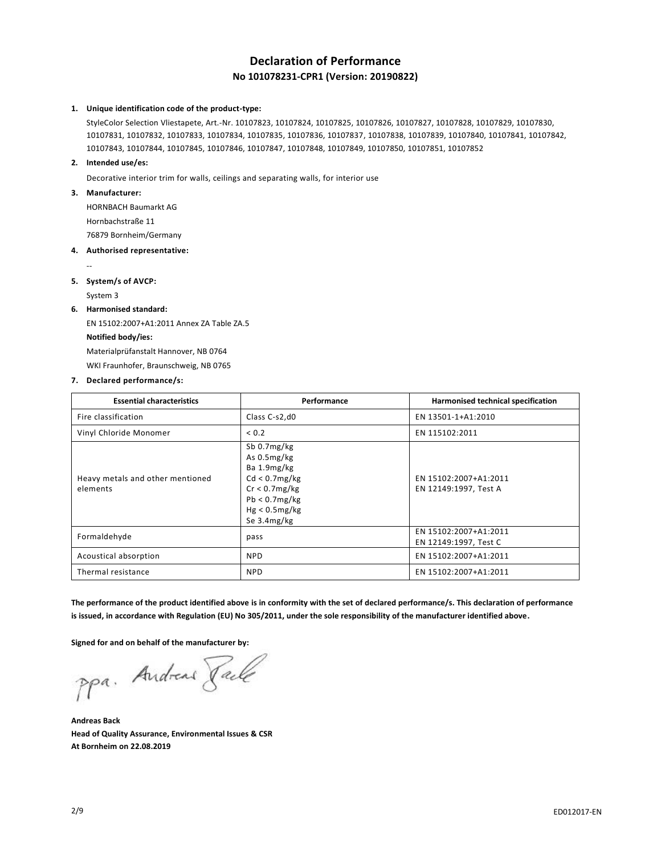# **Declaration of Performance No 101078231-CPR1 (Version: 20190822)**

### **1. Unique identification code of the product-type:**

StyleColor Selection Vliestapete, Art.-Nr. 10107823, 10107824, 10107825, 10107826, 10107827, 10107828, 10107829, 10107830, 10107831, 10107832, 10107833, 10107834, 10107835, 10107836, 10107837, 10107838, 10107839, 10107840, 10107841, 10107842, 10107843, 10107844, 10107845, 10107846, 10107847, 10107848, 10107849, 10107850, 10107851, 10107852

## **2. Intended use/es:**

Decorative interior trim for walls, ceilings and separating walls, for interior use

#### **3. Manufacturer:**

HORNBACH Baumarkt AG Hornbachstraße 11

76879 Bornheim/Germany

#### **4. Authorised representative:**

## **5. System/s of AVCP:**

System 3

--

#### **6. Harmonised standard:**

EN 15102:2007+A1:2011 Annex ZA Table ZA.5 **Notified body/ies:** Materialprüfanstalt Hannover, NB 0764 WKI Fraunhofer, Braunschweig, NB 0765

#### **7. Declared performance/s:**

| <b>Essential characteristics</b>             | Performance                                                                                                                     | Harmonised technical specification             |
|----------------------------------------------|---------------------------------------------------------------------------------------------------------------------------------|------------------------------------------------|
| Fire classification                          | Class C-s2,d0                                                                                                                   | EN 13501-1+A1:2010                             |
| Vinyl Chloride Monomer                       | < 0.2                                                                                                                           | EN 115102:2011                                 |
| Heavy metals and other mentioned<br>elements | Sb 0.7mg/kg<br>As 0.5mg/kg<br>Ba 1.9mg/kg<br>Cd < 0.7mg/kg<br>$Cr < 0.7$ mg/kg<br>Pb < 0.7mg/kg<br>Hg < 0.5mg/kg<br>Se 3.4mg/kg | EN 15102:2007+A1:2011<br>EN 12149:1997, Test A |
| Formaldehyde                                 | pass                                                                                                                            | EN 15102:2007+A1:2011<br>EN 12149:1997, Test C |
| Acoustical absorption                        | <b>NPD</b>                                                                                                                      | EN 15102:2007+A1:2011                          |
| Thermal resistance                           | <b>NPD</b>                                                                                                                      | EN 15102:2007+A1:2011                          |

**The performance of the product identified above is in conformity with the set of declared performance/s. This declaration of performance is issued, in accordance with Regulation (EU) No 305/2011, under the sole responsibility of the manufacturer identified above.**

**Signed for and on behalf of the manufacturer by:**

ppa. Andreas Paile

**Andreas Back Head of Quality Assurance, Environmental Issues & CSR At Bornheim on 22.08.2019**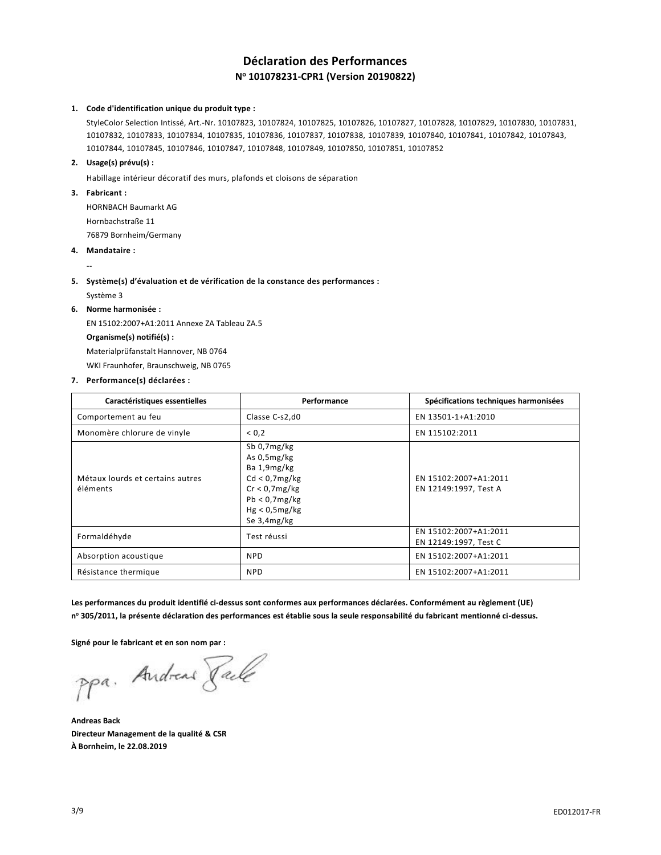# **Déclaration des Performances N <sup>o</sup> 101078231-CPR1 (Version 20190822)**

## **1. Code d'identification unique du produit type :**

StyleColor Selection Intissé, Art.-Nr. 10107823, 10107824, 10107825, 10107826, 10107827, 10107828, 10107829, 10107830, 10107831, 10107832, 10107833, 10107834, 10107835, 10107836, 10107837, 10107838, 10107839, 10107840, 10107841, 10107842, 10107843, 10107844, 10107845, 10107846, 10107847, 10107848, 10107849, 10107850, 10107851, 10107852

## **2. Usage(s) prévu(s) :**

Habillage intérieur décoratif des murs, plafonds et cloisons de séparation

### **3. Fabricant :**

HORNBACH Baumarkt AG Hornbachstraße 11 76879 Bornheim/Germany

### **4. Mandataire :**

### **5. Système(s) d'évaluation et de vérification de la constance des performances :**

Système 3

--

## **6. Norme harmonisée :**

EN 15102:2007+A1:2011 Annexe ZA Tableau ZA.5 **Organisme(s) notifié(s) :** Materialprüfanstalt Hannover, NB 0764 WKI Fraunhofer, Braunschweig, NB 0765

### **7. Performance(s) déclarées :**

| Caractéristiques essentielles                | Performance                                                                                                                    | Spécifications techniques harmonisées          |
|----------------------------------------------|--------------------------------------------------------------------------------------------------------------------------------|------------------------------------------------|
| Comportement au feu                          | Classe C-s2,d0                                                                                                                 | EN 13501-1+A1:2010                             |
| Monomère chlorure de vinyle                  | < 0.2                                                                                                                          | EN 115102:2011                                 |
| Métaux lourds et certains autres<br>éléments | Sb $0.7mg/kg$<br>As 0,5mg/kg<br>Ba 1,9mg/kg<br>Cd < 0.7mg/kg<br>Cr < 0.7mg/kg<br>Pb < 0.7mg/kg<br>Hg < 0.5mg/kg<br>Se 3,4mg/kg | EN 15102:2007+A1:2011<br>EN 12149:1997, Test A |
| Formaldéhyde                                 | Test réussi                                                                                                                    | EN 15102:2007+A1:2011<br>EN 12149:1997, Test C |
| Absorption acoustique                        | <b>NPD</b>                                                                                                                     | EN 15102:2007+A1:2011                          |
| Résistance thermique                         | <b>NPD</b>                                                                                                                     | EN 15102:2007+A1:2011                          |

**Les performances du produit identifié ci-dessus sont conformes aux performances déclarées. Conformément au règlement (UE) n <sup>o</sup> 305/2011, la présente déclaration des performances est établie sous la seule responsabilité du fabricant mentionné ci-dessus.**

### **Signé pour le fabricant et en son nom par :**

ppa. Andreas Paule

**Andreas Back Directeur Management de la qualité & CSR À Bornheim, le 22.08.2019**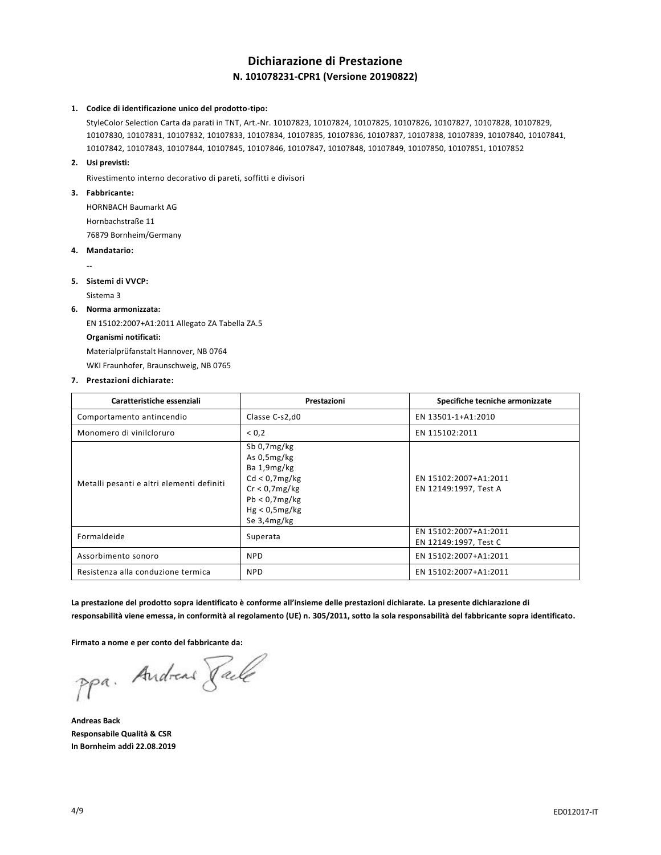# **Dichiarazione di Prestazione N. 101078231-CPR1 (Versione 20190822)**

### **1. Codice di identificazione unico del prodotto-tipo:**

StyleColor Selection Carta da parati in TNT, Art.-Nr. 10107823, 10107824, 10107825, 10107826, 10107827, 10107828, 10107829, 10107830, 10107831, 10107832, 10107833, 10107834, 10107835, 10107836, 10107837, 10107838, 10107839, 10107840, 10107841, 10107842, 10107843, 10107844, 10107845, 10107846, 10107847, 10107848, 10107849, 10107850, 10107851, 10107852

#### **2. Usi previsti:**

Rivestimento interno decorativo di pareti, soffitti e divisori

### **3. Fabbricante:**

HORNBACH Baumarkt AG Hornbachstraße 11

76879 Bornheim/Germany

**4. Mandatario:**

--

#### **5. Sistemi di VVCP:**

Sistema 3

#### **6. Norma armonizzata:**

EN 15102:2007+A1:2011 Allegato ZA Tabella ZA.5 **Organismi notificati:** Materialprüfanstalt Hannover, NB 0764 WKI Fraunhofer, Braunschweig, NB 0765

#### **7. Prestazioni dichiarate:**

| Caratteristiche essenziali                | Prestazioni                                                                                                                      | Specifiche tecniche armonizzate                |
|-------------------------------------------|----------------------------------------------------------------------------------------------------------------------------------|------------------------------------------------|
| Comportamento antincendio                 | Classe C-s2,d0                                                                                                                   | EN 13501-1+A1:2010                             |
| Monomero di vinilcloruro                  | 0,2                                                                                                                              | EN 115102:2011                                 |
| Metalli pesanti e altri elementi definiti | Sb $0.7mg/kg$<br>As $0.5mg/kg$<br>Ba 1,9mg/kg<br>Cd < 0.7mg/kg<br>Cr < 0.7mg/kg<br>Pb < 0.7mg/kg<br>Hg < 0.5mg/kg<br>Se 3,4mg/kg | EN 15102:2007+A1:2011<br>EN 12149:1997, Test A |
| Formaldeide                               | Superata                                                                                                                         | EN 15102:2007+A1:2011<br>EN 12149:1997, Test C |
| Assorbimento sonoro                       | <b>NPD</b>                                                                                                                       | EN 15102:2007+A1:2011                          |
| Resistenza alla conduzione termica        | <b>NPD</b>                                                                                                                       | EN 15102:2007+A1:2011                          |

**La prestazione del prodotto sopra identificato è conforme all'insieme delle prestazioni dichiarate. La presente dichiarazione di responsabilità viene emessa, in conformità al regolamento (UE) n. 305/2011, sotto la sola responsabilità del fabbricante sopra identificato.**

**Firmato a nome e per conto del fabbricante da:**

ppa. Andreas Paule

**Andreas Back Responsabile Qualità & CSR In Bornheim addì 22.08.2019**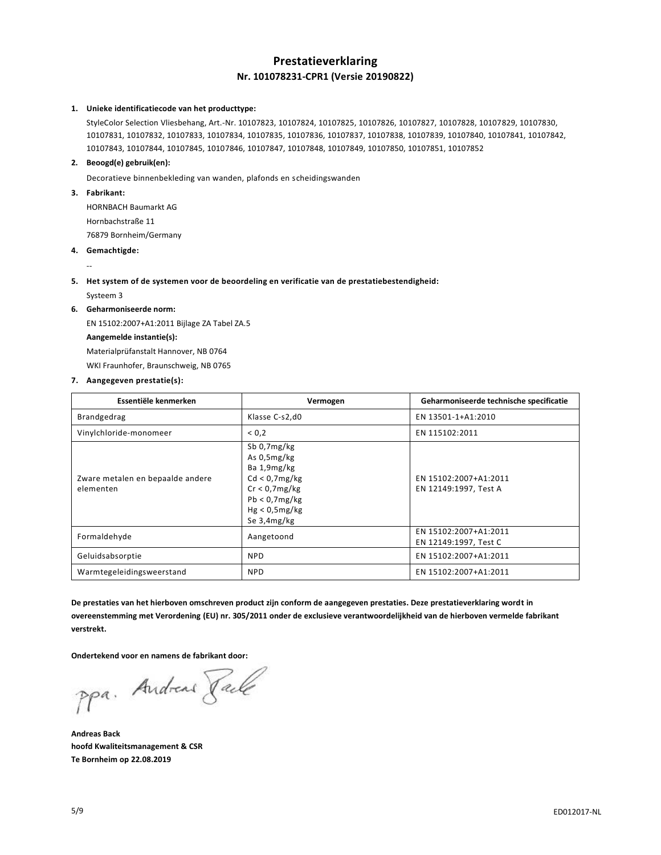# **Prestatieverklaring Nr. 101078231-CPR1 (Versie 20190822)**

#### **1. Unieke identificatiecode van het producttype:**

StyleColor Selection Vliesbehang, Art.-Nr. 10107823, 10107824, 10107825, 10107826, 10107827, 10107828, 10107829, 10107830, 10107831, 10107832, 10107833, 10107834, 10107835, 10107836, 10107837, 10107838, 10107839, 10107840, 10107841, 10107842, 10107843, 10107844, 10107845, 10107846, 10107847, 10107848, 10107849, 10107850, 10107851, 10107852

### **2. Beoogd(e) gebruik(en):**

Decoratieve binnenbekleding van wanden, plafonds en scheidingswanden

#### **3. Fabrikant:**

HORNBACH Baumarkt AG Hornbachstraße 11

76879 Bornheim/Germany

**4. Gemachtigde:**

--

### **5. Het system of de systemen voor de beoordeling en verificatie van de prestatiebestendigheid:**

Systeem 3

### **6. Geharmoniseerde norm:**

EN 15102:2007+A1:2011 Bijlage ZA Tabel ZA.5 **Aangemelde instantie(s):** Materialprüfanstalt Hannover, NB 0764 WKI Fraunhofer, Braunschweig, NB 0765

#### **7. Aangegeven prestatie(s):**

| Essentiële kenmerken                          | Vermogen                                                                                                                        | Geharmoniseerde technische specificatie        |
|-----------------------------------------------|---------------------------------------------------------------------------------------------------------------------------------|------------------------------------------------|
| Brandgedrag                                   | Klasse C-s2,d0                                                                                                                  | EN 13501-1+A1:2010                             |
| Vinylchloride-monomeer                        | < 0.2                                                                                                                           | EN 115102:2011                                 |
| Zware metalen en bepaalde andere<br>elementen | Sb 0,7mg/kg<br>As 0,5mg/kg<br>Ba 1,9mg/kg<br>Cd < 0.7mg/kg<br>$Cr < 0.7$ mg/kg<br>Pb < 0.7mg/kg<br>Hg < 0.5mg/kg<br>Se 3,4mg/kg | EN 15102:2007+A1:2011<br>EN 12149:1997, Test A |
| Formaldehyde                                  | Aangetoond                                                                                                                      | EN 15102:2007+A1:2011<br>EN 12149:1997, Test C |
| Geluidsabsorptie                              | <b>NPD</b>                                                                                                                      | EN 15102:2007+A1:2011                          |
| Warmtegeleidingsweerstand                     | <b>NPD</b>                                                                                                                      | EN 15102:2007+A1:2011                          |

**De prestaties van het hierboven omschreven product zijn conform de aangegeven prestaties. Deze prestatieverklaring wordt in overeenstemming met Verordening (EU) nr. 305/2011 onder de exclusieve verantwoordelijkheid van de hierboven vermelde fabrikant verstrekt.**

**Ondertekend voor en namens de fabrikant door:**

ppa. Andreas Paule

**Andreas Back hoofd Kwaliteitsmanagement & CSR Te Bornheim op 22.08.2019**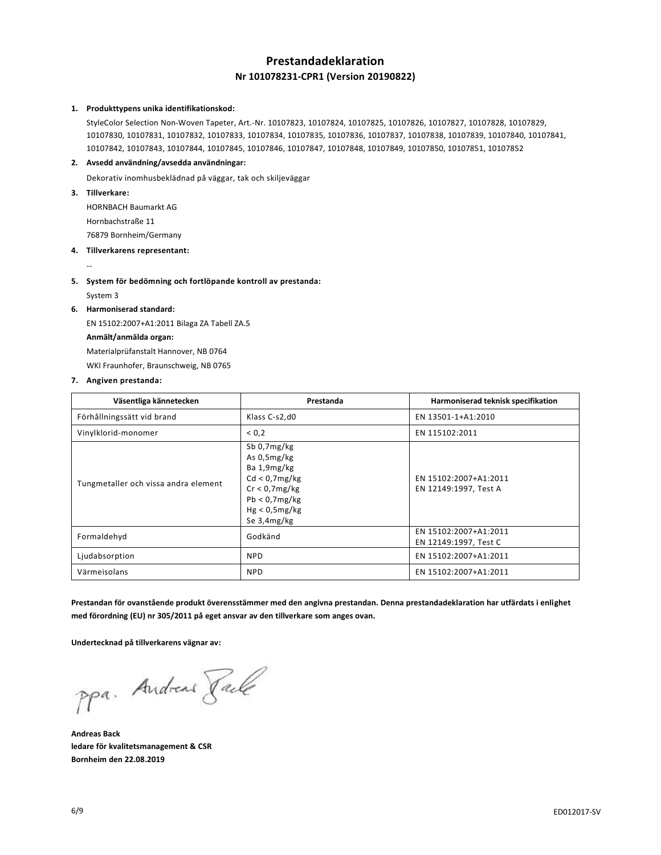# **Prestandadeklaration Nr 101078231-CPR1 (Version 20190822)**

### **1. Produkttypens unika identifikationskod:**

StyleColor Selection Non-Woven Tapeter, Art.-Nr. 10107823, 10107824, 10107825, 10107826, 10107827, 10107828, 10107829, 10107830, 10107831, 10107832, 10107833, 10107834, 10107835, 10107836, 10107837, 10107838, 10107839, 10107840, 10107841, 10107842, 10107843, 10107844, 10107845, 10107846, 10107847, 10107848, 10107849, 10107850, 10107851, 10107852

## **2. Avsedd användning/avsedda användningar:**

Dekorativ inomhusbeklädnad på väggar, tak och skiljeväggar

**3. Tillverkare:**

HORNBACH Baumarkt AG Hornbachstraße 11

76879 Bornheim/Germany

# **4. Tillverkarens representant:**

## **5. System för bedömning och fortlöpande kontroll av prestanda:**

System 3

--

# **6. Harmoniserad standard:**

EN 15102:2007+A1:2011 Bilaga ZA Tabell ZA.5 **Anmält/anmälda organ:** Materialprüfanstalt Hannover, NB 0764 WKI Fraunhofer, Braunschweig, NB 0765

## **7. Angiven prestanda:**

| Väsentliga kännetecken               | Prestanda                                                                                                                    | Harmoniserad teknisk specifikation             |
|--------------------------------------|------------------------------------------------------------------------------------------------------------------------------|------------------------------------------------|
| Förhållningssätt vid brand           | Klass C-s2,d0                                                                                                                | EN 13501-1+A1:2010                             |
| Vinylklorid-monomer                  | 0,2                                                                                                                          | EN 115102:2011                                 |
| Tungmetaller och vissa andra element | Sb 0,7mg/kg<br>As 0,5mg/kg<br>Ba 1,9mg/kg<br>Cd < 0.7mg/kg<br>Cr < 0.7mg/kg<br>Pb < 0.7mg/kg<br>Hg < 0.5mg/kg<br>Se 3,4mg/kg | EN 15102:2007+A1:2011<br>EN 12149:1997, Test A |
| Formaldehyd                          | Godkänd                                                                                                                      | EN 15102:2007+A1:2011<br>EN 12149:1997, Test C |
| Ljudabsorption                       | <b>NPD</b>                                                                                                                   | EN 15102:2007+A1:2011                          |
| Värmeisolans                         | <b>NPD</b>                                                                                                                   | EN 15102:2007+A1:2011                          |

**Prestandan för ovanstående produkt överensstämmer med den angivna prestandan. Denna prestandadeklaration har utfärdats i enlighet med förordning (EU) nr 305/2011 på eget ansvar av den tillverkare som anges ovan.**

### **Undertecknad på tillverkarens vägnar av:**

ppa. Andreas Rache

**Andreas Back ledare för kvalitetsmanagement & CSR Bornheim den 22.08.2019**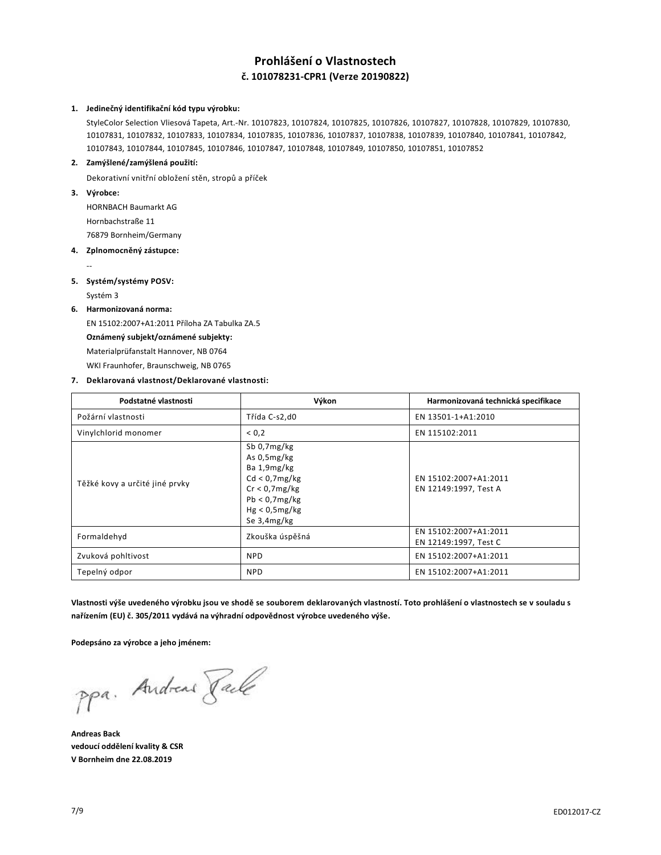# **Prohlášení o Vlastnostech č. 101078231-CPR1 (Verze 20190822)**

#### **1. Jedinečný identifikační kód typu výrobku:**

StyleColor Selection Vliesová Tapeta, Art.-Nr. 10107823, 10107824, 10107825, 10107826, 10107827, 10107828, 10107829, 10107830, 10107831, 10107832, 10107833, 10107834, 10107835, 10107836, 10107837, 10107838, 10107839, 10107840, 10107841, 10107842, 10107843, 10107844, 10107845, 10107846, 10107847, 10107848, 10107849, 10107850, 10107851, 10107852

## **2. Zamýšlené/zamýšlená použití:**

Dekorativní vnitřní obložení stěn, stropů a příček

**3. Výrobce:**

--

HORNBACH Baumarkt AG Hornbachstraße 11

76879 Bornheim/Germany

**4. Zplnomocněný zástupce:**

## **5. Systém/systémy POSV:**

Systém 3

## **6. Harmonizovaná norma:**

EN 15102:2007+A1:2011 Příloha ZA Tabulka ZA.5 **Oznámený subjekt/oznámené subjekty:** Materialprüfanstalt Hannover, NB 0764 WKI Fraunhofer, Braunschweig, NB 0765

## **7. Deklarovaná vlastnost/Deklarované vlastnosti:**

| Podstatné vlastnosti           | Výkon                                                                                                                        | Harmonizovaná technická specifikace            |
|--------------------------------|------------------------------------------------------------------------------------------------------------------------------|------------------------------------------------|
| Požární vlastnosti             | Třída C-s2,d0                                                                                                                | EN 13501-1+A1:2010                             |
| Vinylchlorid monomer           | < 0.2                                                                                                                        | EN 115102:2011                                 |
| Těžké kovy a určité jiné prvky | Sb 0,7mg/kg<br>As 0,5mg/kg<br>Ba 1,9mg/kg<br>Cd < 0.7mg/kg<br>Cr < 0.7mg/kg<br>Pb < 0.7mg/kg<br>Hg < 0.5mg/kg<br>Se 3,4mg/kg | EN 15102:2007+A1:2011<br>EN 12149:1997, Test A |
| Formaldehyd                    | Zkouška úspěšná                                                                                                              | EN 15102:2007+A1:2011<br>EN 12149:1997, Test C |
| Zvuková pohltivost             | <b>NPD</b>                                                                                                                   | EN 15102:2007+A1:2011                          |
| Tepelný odpor                  | <b>NPD</b>                                                                                                                   | EN 15102:2007+A1:2011                          |

**Vlastnosti výše uvedeného výrobku jsou ve shodě se souborem deklarovaných vlastností. Toto prohlášení o vlastnostech se v souladu s nařízením (EU) č. 305/2011 vydává na výhradní odpovědnost výrobce uvedeného výše.**

### **Podepsáno za výrobce a jeho jménem:**

ppa. Andreas Rache

**Andreas Back vedoucí oddělení kvality & CSR V Bornheim dne 22.08.2019**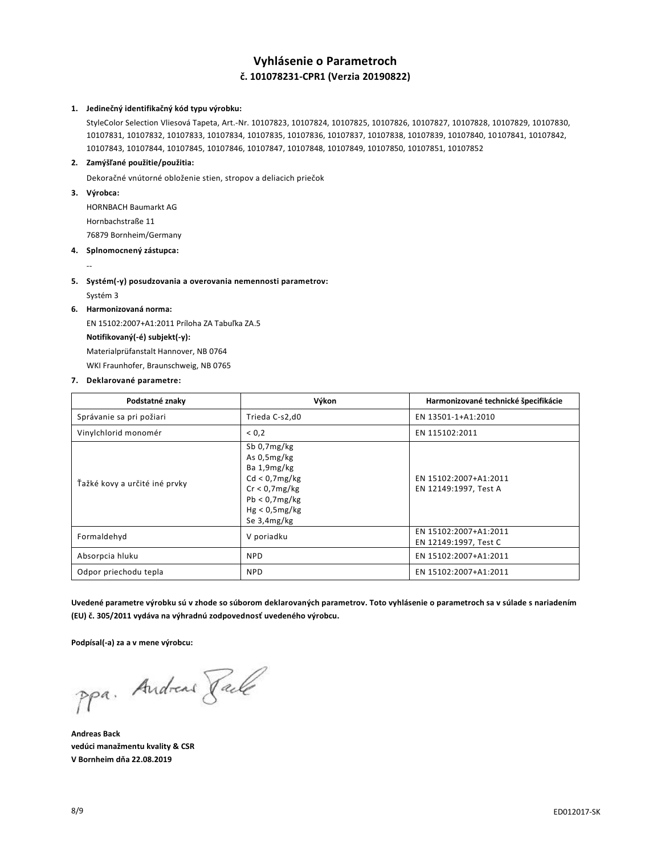# **Vyhlásenie o Parametroch č. 101078231-CPR1 (Verzia 20190822)**

#### **1. Jedinečný identifikačný kód typu výrobku:**

StyleColor Selection Vliesová Tapeta, Art.-Nr. 10107823, 10107824, 10107825, 10107826, 10107827, 10107828, 10107829, 10107830, 10107831, 10107832, 10107833, 10107834, 10107835, 10107836, 10107837, 10107838, 10107839, 10107840, 10107841, 10107842, 10107843, 10107844, 10107845, 10107846, 10107847, 10107848, 10107849, 10107850, 10107851, 10107852

### **2. Zamýšľané použitie/použitia:**

Dekoračné vnútorné obloženie stien, stropov a deliacich priečok

**3. Výrobca:**

HORNBACH Baumarkt AG Hornbachstraße 11 76879 Bornheim/Germany

- **4. Splnomocnený zástupca:**
- **5. Systém(-y) posudzovania a overovania nemennosti parametrov:**
	- Systém 3

--

## **6. Harmonizovaná norma:**

EN 15102:2007+A1:2011 Príloha ZA Tabuľka ZA.5 **Notifikovaný(-é) subjekt(-y):** Materialprüfanstalt Hannover, NB 0764 WKI Fraunhofer, Braunschweig, NB 0765

### **7. Deklarované parametre:**

| Podstatné znaky               | Výkon                                                                                                                        | Harmonizované technické špecifikácie           |
|-------------------------------|------------------------------------------------------------------------------------------------------------------------------|------------------------------------------------|
| Správanie sa pri požiari      | Trieda C-s2,d0                                                                                                               | EN 13501-1+A1:2010                             |
| Vinylchlorid monomér          | ${}_{0.2}$                                                                                                                   | EN 115102:2011                                 |
| Ťažké kovy a určité iné prvky | Sb 0,7mg/kg<br>As 0,5mg/kg<br>Ba 1,9mg/kg<br>Cd < 0.7mg/kg<br>Cr < 0.7mg/kg<br>Pb < 0.7mg/kg<br>Hg < 0.5mg/kg<br>Se 3,4mg/kg | EN 15102:2007+A1:2011<br>EN 12149:1997, Test A |
| Formaldehyd                   | V poriadku                                                                                                                   | EN 15102:2007+A1:2011<br>EN 12149:1997, Test C |
| Absorpcia hluku               | <b>NPD</b>                                                                                                                   | EN 15102:2007+A1:2011                          |
| Odpor priechodu tepla         | <b>NPD</b>                                                                                                                   | EN 15102:2007+A1:2011                          |

**Uvedené parametre výrobku sú v zhode so súborom deklarovaných parametrov. Toto vyhlásenie o parametroch sa v súlade s nariadením (EU) č. 305/2011 vydáva na výhradnú zodpovednosť uvedeného výrobcu.**

#### **Podpísal(-a) za a v mene výrobcu:**

ppa. Andreas Rache

**Andreas Back vedúci manažmentu kvality & CSR V Bornheim dňa 22.08.2019**